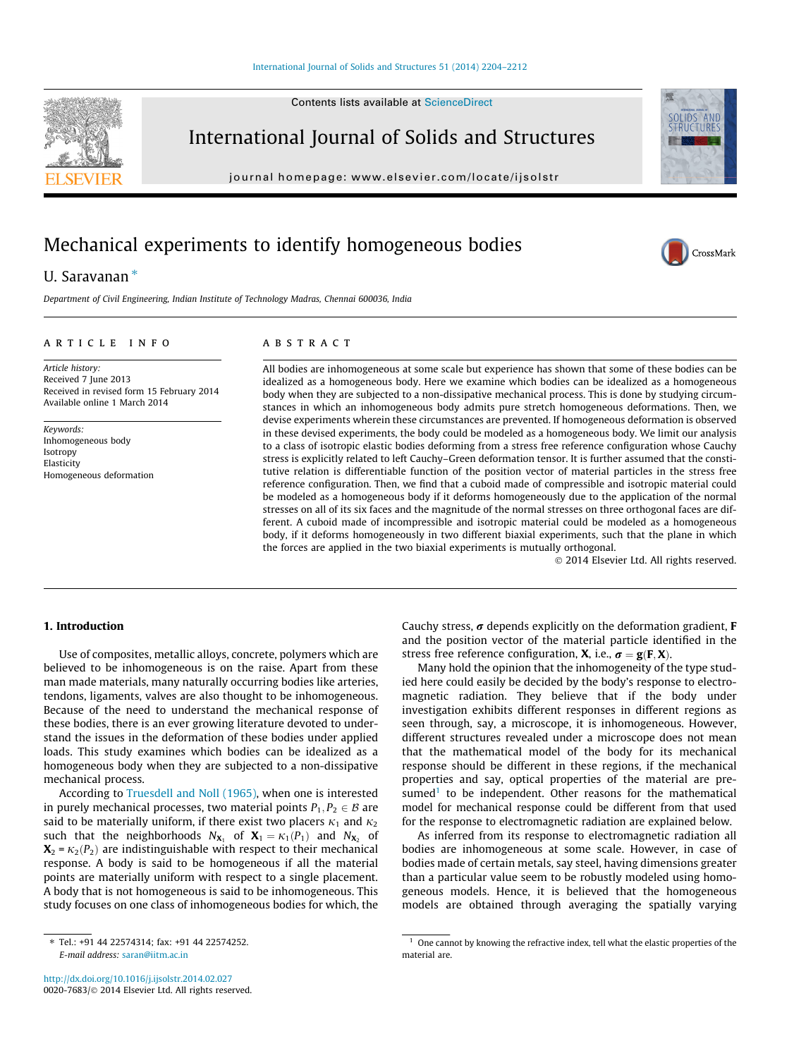Contents lists available at [ScienceDirect](http://www.sciencedirect.com/science/journal/00207683)

International Journal of Solids and Structures

journal homepage: [www.elsevier.com/locate/ijsolstr](http://www.elsevier.com/locate/ijsolstr)

# Mechanical experiments to identify homogeneous bodies



## U. Saravanan \*

Department of Civil Engineering, Indian Institute of Technology Madras, Chennai 600036, India

#### article info

Article history: Received 7 June 2013 Received in revised form 15 February 2014 Available online 1 March 2014

Keywords: Inhomogeneous body Isotropy Elasticity Homogeneous deformation

### **ABSTRACT**

All bodies are inhomogeneous at some scale but experience has shown that some of these bodies can be idealized as a homogeneous body. Here we examine which bodies can be idealized as a homogeneous body when they are subjected to a non-dissipative mechanical process. This is done by studying circumstances in which an inhomogeneous body admits pure stretch homogeneous deformations. Then, we devise experiments wherein these circumstances are prevented. If homogeneous deformation is observed in these devised experiments, the body could be modeled as a homogeneous body. We limit our analysis to a class of isotropic elastic bodies deforming from a stress free reference configuration whose Cauchy stress is explicitly related to left Cauchy–Green deformation tensor. It is further assumed that the constitutive relation is differentiable function of the position vector of material particles in the stress free reference configuration. Then, we find that a cuboid made of compressible and isotropic material could be modeled as a homogeneous body if it deforms homogeneously due to the application of the normal stresses on all of its six faces and the magnitude of the normal stresses on three orthogonal faces are different. A cuboid made of incompressible and isotropic material could be modeled as a homogeneous body, if it deforms homogeneously in two different biaxial experiments, such that the plane in which the forces are applied in the two biaxial experiments is mutually orthogonal.

- 2014 Elsevier Ltd. All rights reserved.

#### 1. Introduction

Use of composites, metallic alloys, concrete, polymers which are believed to be inhomogeneous is on the raise. Apart from these man made materials, many naturally occurring bodies like arteries, tendons, ligaments, valves are also thought to be inhomogeneous. Because of the need to understand the mechanical response of these bodies, there is an ever growing literature devoted to understand the issues in the deformation of these bodies under applied loads. This study examines which bodies can be idealized as a homogeneous body when they are subjected to a non-dissipative mechanical process.

According to [Truesdell and Noll \(1965\)](#page-8-0), when one is interested in purely mechanical processes, two material points  $P_1, P_2 \in \mathcal{B}$  are said to be materially uniform, if there exist two placers  $\kappa_1$  and  $\kappa_2$ such that the neighborhoods  $N_{\mathbf{X}_1}$  of  $\mathbf{X}_1 = \kappa_1(P_1)$  and  $N_{\mathbf{X}_2}$  of  $\mathbf{X}_2 = \kappa_2(P_2)$  are indistinguishable with respect to their mechanical response. A body is said to be homogeneous if all the material points are materially uniform with respect to a single placement. A body that is not homogeneous is said to be inhomogeneous. This study focuses on one class of inhomogeneous bodies for which, the Cauchy stress,  $\sigma$  depends explicitly on the deformation gradient, **F** and the position vector of the material particle identified in the stress free reference configuration, **X**, i.e.,  $\sigma = g(F, X)$ .

Many hold the opinion that the inhomogeneity of the type studied here could easily be decided by the body's response to electromagnetic radiation. They believe that if the body under investigation exhibits different responses in different regions as seen through, say, a microscope, it is inhomogeneous. However, different structures revealed under a microscope does not mean that the mathematical model of the body for its mechanical response should be different in these regions, if the mechanical properties and say, optical properties of the material are presumed $1$  to be independent. Other reasons for the mathematical model for mechanical response could be different from that used for the response to electromagnetic radiation are explained below.

As inferred from its response to electromagnetic radiation all bodies are inhomogeneous at some scale. However, in case of bodies made of certain metals, say steel, having dimensions greater than a particular value seem to be robustly modeled using homogeneous models. Hence, it is believed that the homogeneous models are obtained through averaging the spatially varying

<sup>⇑</sup> Tel.: +91 44 22574314; fax: +91 44 22574252. E-mail address: [saran@iitm.ac.in](mailto:saran@iitm.ac.in)

 $1$  One cannot by knowing the refractive index, tell what the elastic properties of the material are.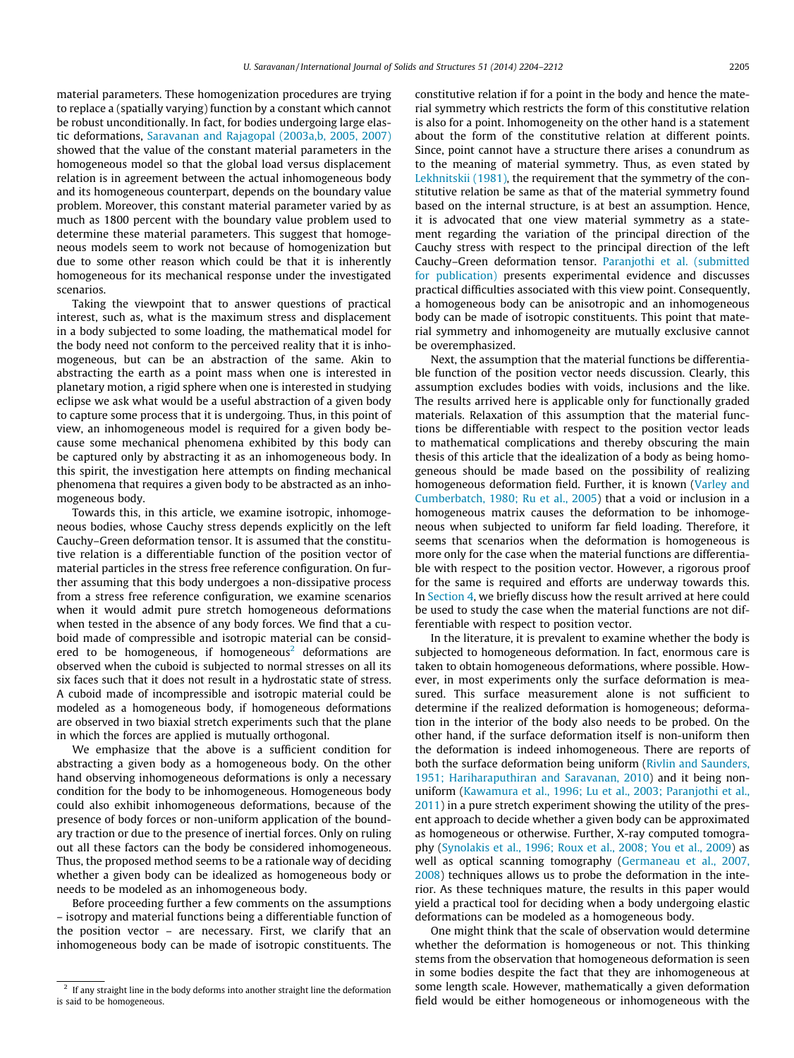material parameters. These homogenization procedures are trying to replace a (spatially varying) function by a constant which cannot be robust unconditionally. In fact, for bodies undergoing large elastic deformations, [Saravanan and Rajagopal \(2003a,b, 2005, 2007\)](#page-8-0) showed that the value of the constant material parameters in the homogeneous model so that the global load versus displacement relation is in agreement between the actual inhomogeneous body and its homogeneous counterpart, depends on the boundary value problem. Moreover, this constant material parameter varied by as much as 1800 percent with the boundary value problem used to determine these material parameters. This suggest that homogeneous models seem to work not because of homogenization but due to some other reason which could be that it is inherently homogeneous for its mechanical response under the investigated scenarios.

Taking the viewpoint that to answer questions of practical interest, such as, what is the maximum stress and displacement in a body subjected to some loading, the mathematical model for the body need not conform to the perceived reality that it is inhomogeneous, but can be an abstraction of the same. Akin to abstracting the earth as a point mass when one is interested in planetary motion, a rigid sphere when one is interested in studying eclipse we ask what would be a useful abstraction of a given body to capture some process that it is undergoing. Thus, in this point of view, an inhomogeneous model is required for a given body because some mechanical phenomena exhibited by this body can be captured only by abstracting it as an inhomogeneous body. In this spirit, the investigation here attempts on finding mechanical phenomena that requires a given body to be abstracted as an inhomogeneous body.

Towards this, in this article, we examine isotropic, inhomogeneous bodies, whose Cauchy stress depends explicitly on the left Cauchy–Green deformation tensor. It is assumed that the constitutive relation is a differentiable function of the position vector of material particles in the stress free reference configuration. On further assuming that this body undergoes a non-dissipative process from a stress free reference configuration, we examine scenarios when it would admit pure stretch homogeneous deformations when tested in the absence of any body forces. We find that a cuboid made of compressible and isotropic material can be considered to be homogeneous, if homogeneous<sup>2</sup> deformations are observed when the cuboid is subjected to normal stresses on all its six faces such that it does not result in a hydrostatic state of stress. A cuboid made of incompressible and isotropic material could be modeled as a homogeneous body, if homogeneous deformations are observed in two biaxial stretch experiments such that the plane in which the forces are applied is mutually orthogonal.

We emphasize that the above is a sufficient condition for abstracting a given body as a homogeneous body. On the other hand observing inhomogeneous deformations is only a necessary condition for the body to be inhomogeneous. Homogeneous body could also exhibit inhomogeneous deformations, because of the presence of body forces or non-uniform application of the boundary traction or due to the presence of inertial forces. Only on ruling out all these factors can the body be considered inhomogeneous. Thus, the proposed method seems to be a rationale way of deciding whether a given body can be idealized as homogeneous body or needs to be modeled as an inhomogeneous body.

Before proceeding further a few comments on the assumptions – isotropy and material functions being a differentiable function of the position vector – are necessary. First, we clarify that an inhomogeneous body can be made of isotropic constituents. The

constitutive relation if for a point in the body and hence the material symmetry which restricts the form of this constitutive relation is also for a point. Inhomogeneity on the other hand is a statement about the form of the constitutive relation at different points. Since, point cannot have a structure there arises a conundrum as to the meaning of material symmetry. Thus, as even stated by [Lekhnitskii \(1981\)](#page-8-0), the requirement that the symmetry of the constitutive relation be same as that of the material symmetry found based on the internal structure, is at best an assumption. Hence, it is advocated that one view material symmetry as a statement regarding the variation of the principal direction of the Cauchy stress with respect to the principal direction of the left Cauchy–Green deformation tensor. [Paranjothi et al. \(submitted](#page-8-0) [for publication\)](#page-8-0) presents experimental evidence and discusses practical difficulties associated with this view point. Consequently, a homogeneous body can be anisotropic and an inhomogeneous body can be made of isotropic constituents. This point that material symmetry and inhomogeneity are mutually exclusive cannot be overemphasized.

Next, the assumption that the material functions be differentiable function of the position vector needs discussion. Clearly, this assumption excludes bodies with voids, inclusions and the like. The results arrived here is applicable only for functionally graded materials. Relaxation of this assumption that the material functions be differentiable with respect to the position vector leads to mathematical complications and thereby obscuring the main thesis of this article that the idealization of a body as being homogeneous should be made based on the possibility of realizing homogeneous deformation field. Further, it is known [\(Varley and](#page-8-0) [Cumberbatch, 1980; Ru et al., 2005](#page-8-0)) that a void or inclusion in a homogeneous matrix causes the deformation to be inhomogeneous when subjected to uniform far field loading. Therefore, it seems that scenarios when the deformation is homogeneous is more only for the case when the material functions are differentiable with respect to the position vector. However, a rigorous proof for the same is required and efforts are underway towards this. In [Section 4](#page-7-0), we briefly discuss how the result arrived at here could be used to study the case when the material functions are not differentiable with respect to position vector.

In the literature, it is prevalent to examine whether the body is subjected to homogeneous deformation. In fact, enormous care is taken to obtain homogeneous deformations, where possible. However, in most experiments only the surface deformation is measured. This surface measurement alone is not sufficient to determine if the realized deformation is homogeneous; deformation in the interior of the body also needs to be probed. On the other hand, if the surface deformation itself is non-uniform then the deformation is indeed inhomogeneous. There are reports of both the surface deformation being uniform [\(Rivlin and Saunders,](#page-8-0) [1951; Hariharaputhiran and Saravanan, 2010](#page-8-0)) and it being nonuniform ([Kawamura et al., 1996; Lu et al., 2003; Paranjothi et al.,](#page-8-0) [2011](#page-8-0)) in a pure stretch experiment showing the utility of the present approach to decide whether a given body can be approximated as homogeneous or otherwise. Further, X-ray computed tomography ([Synolakis et al., 1996; Roux et al., 2008; You et al., 2009\)](#page-8-0) as well as optical scanning tomography ([Germaneau et al., 2007,](#page-8-0) [2008](#page-8-0)) techniques allows us to probe the deformation in the interior. As these techniques mature, the results in this paper would yield a practical tool for deciding when a body undergoing elastic deformations can be modeled as a homogeneous body.

One might think that the scale of observation would determine whether the deformation is homogeneous or not. This thinking stems from the observation that homogeneous deformation is seen in some bodies despite the fact that they are inhomogeneous at some length scale. However, mathematically a given deformation field would be either homogeneous or inhomogeneous with the

 $^{\rm 2}$  If any straight line in the body deforms into another straight line the deformation is said to be homogeneous.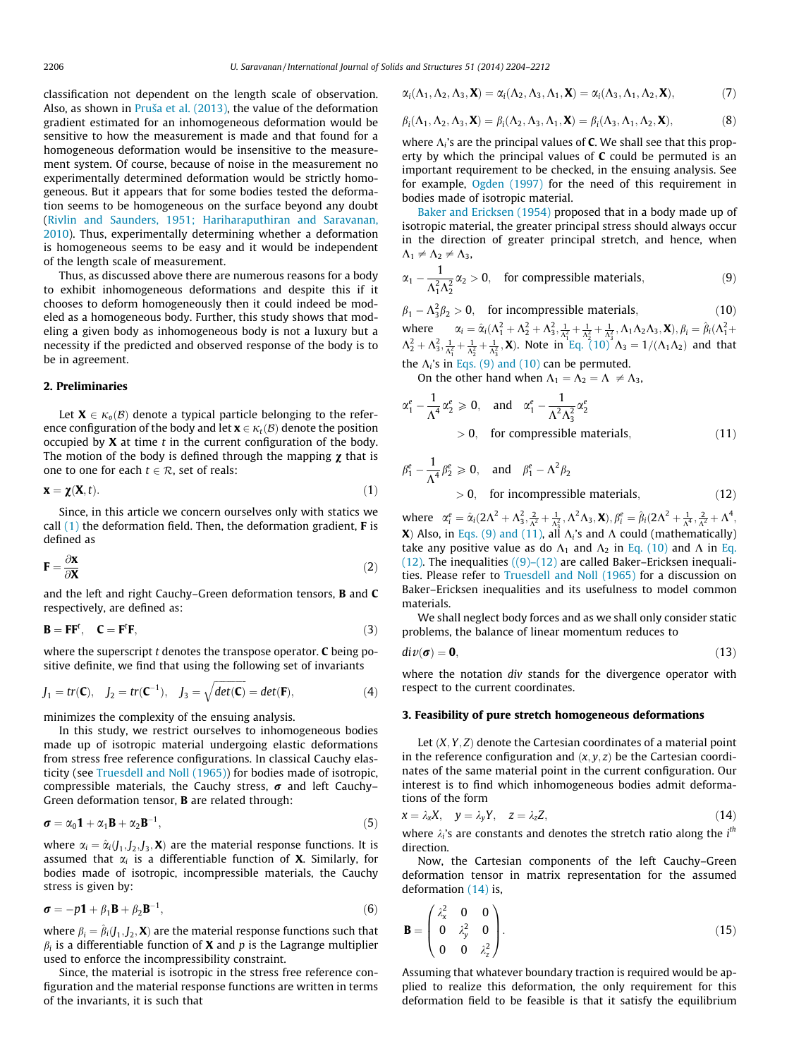<span id="page-2-0"></span>classification not dependent on the length scale of observation. Also, as shown in [Pruša et al. \(2013\)](#page-8-0), the value of the deformation gradient estimated for an inhomogeneous deformation would be sensitive to how the measurement is made and that found for a homogeneous deformation would be insensitive to the measurement system. Of course, because of noise in the measurement no experimentally determined deformation would be strictly homogeneous. But it appears that for some bodies tested the deformation seems to be homogeneous on the surface beyond any doubt ([Rivlin and Saunders, 1951; Hariharaputhiran and Saravanan,](#page-8-0) [2010\)](#page-8-0). Thus, experimentally determining whether a deformation is homogeneous seems to be easy and it would be independent of the length scale of measurement.

Thus, as discussed above there are numerous reasons for a body to exhibit inhomogeneous deformations and despite this if it chooses to deform homogeneously then it could indeed be modeled as a homogeneous body. Further, this study shows that modeling a given body as inhomogeneous body is not a luxury but a necessity if the predicted and observed response of the body is to be in agreement.

#### 2. Preliminaries

Let  $\mathbf{X} \in \kappa_o(\mathcal{B})$  denote a typical particle belonging to the reference configuration of the body and let  $\mathbf{x} \in \kappa_t(\mathcal{B})$  denote the position occupied by  $X$  at time  $t$  in the current configuration of the body. The motion of the body is defined through the mapping  $\chi$  that is one to one for each  $t \in \mathcal{R}$ , set of reals:

$$
\mathbf{x} = \mathbf{\chi}(\mathbf{X}, t). \tag{1}
$$

Since, in this article we concern ourselves only with statics we call  $(1)$  the deformation field. Then, the deformation gradient, **F** is defined as

$$
\mathbf{F} = \frac{\partial \mathbf{x}}{\partial \mathbf{X}} \tag{2}
$$

and the left and right Cauchy–Green deformation tensors, B and C respectively, are defined as:

$$
\mathbf{B} = \mathbf{F}\mathbf{F}^t, \quad \mathbf{C} = \mathbf{F}^t\mathbf{F},\tag{3}
$$

where the superscript  $t$  denotes the transpose operator.  $C$  being positive definite, we find that using the following set of invariants

$$
J_1 = tr(C), \quad J_2 = tr(C^{-1}), \quad J_3 = \sqrt{det(C)} = det(F),
$$
 (4)

minimizes the complexity of the ensuing analysis.

In this study, we restrict ourselves to inhomogeneous bodies made up of isotropic material undergoing elastic deformations from stress free reference configurations. In classical Cauchy elasticity (see [Truesdell and Noll \(1965\)\)](#page-8-0) for bodies made of isotropic, compressible materials, the Cauchy stress,  $\sigma$  and left Cauchy– Green deformation tensor, B are related through:

$$
\boldsymbol{\sigma} = \alpha_0 \mathbf{1} + \alpha_1 \mathbf{B} + \alpha_2 \mathbf{B}^{-1}, \tag{5}
$$

where  $\alpha_i = \hat{\alpha}_i$  $($  $J_1$ , $J_2$ , $J_3$ , $\bf{X})$  are the material response functions. It is assumed that  $\alpha_i$  is a differentiable function of **X**. Similarly, for bodies made of isotropic, incompressible materials, the Cauchy stress is given by:

$$
\boldsymbol{\sigma} = -p\mathbf{1} + \beta_1 \mathbf{B} + \beta_2 \mathbf{B}^{-1},\tag{6}
$$

where  $\beta_i = \hat{\beta}_i (J_1, J_2, \mathbf{X})$  are the material response functions such that  $\beta_i$  is a differentiable function of **X** and p is the Lagrange multiplier used to enforce the incompressibility constraint.

Since, the material is isotropic in the stress free reference configuration and the material response functions are written in terms of the invariants, it is such that

$$
\alpha_i(\Lambda_1, \Lambda_2, \Lambda_3, \mathbf{X}) = \alpha_i(\Lambda_2, \Lambda_3, \Lambda_1, \mathbf{X}) = \alpha_i(\Lambda_3, \Lambda_1, \Lambda_2, \mathbf{X}), \tag{7}
$$

$$
\beta_i(\Lambda_1, \Lambda_2, \Lambda_3, \mathbf{X}) = \beta_i(\Lambda_2, \Lambda_3, \Lambda_1, \mathbf{X}) = \beta_i(\Lambda_3, \Lambda_1, \Lambda_2, \mathbf{X}),
$$
\n(8)

where  $\Lambda_i$ 's are the principal values of **C**. We shall see that this property by which the principal values of  $C$  could be permuted is an important requirement to be checked, in the ensuing analysis. See for example, [Ogden \(1997\)](#page-8-0) for the need of this requirement in bodies made of isotropic material.

[Baker and Ericksen \(1954\)](#page-7-0) proposed that in a body made up of isotropic material, the greater principal stress should always occur in the direction of greater principal stretch, and hence, when  $\Lambda_1 \neq \Lambda_2 \neq \Lambda_3$ ,

$$
\alpha_1 - \frac{1}{\Lambda_1^2 \Lambda_2^2} \alpha_2 > 0, \quad \text{for compressible materials,} \tag{9}
$$

$$
\beta_1 - \Lambda_3^2 \beta_2 > 0, \quad \text{for incompressible materials,} \tag{10}
$$

where  $\alpha_i = \hat{\alpha}_i (\Lambda_1^2 + \Lambda_2^2 + \Lambda_3^2, \frac{1}{\Lambda_1^2} + \frac{1}{\Lambda_2^2} + \frac{1}{\Lambda_3^2}, \Lambda_1 \Lambda_2 \Lambda_3, \mathbf{X}), \beta_i = \hat{\beta}_i (\Lambda_1^2 + \Lambda_2^2 + \Lambda_3^2, \frac{1}{\Lambda_1^2} + \frac{1}{\Lambda_2^2} + \frac{1}{\Lambda_3^2}, \Lambda_1 \Lambda_2 \Lambda_3, \mathbf{X})$  $\Lambda_2^2 + \Lambda_3^2, \frac{1}{\Lambda_1^2} + \frac{1}{\Lambda_2^2} + \frac{1}{\Lambda_3^2}$ , X). Note in Eq. (10)  $\Lambda_3 = 1/(\Lambda_1 \Lambda_2)$  and that the  $\Lambda_i$ 's in Eqs. (9) and (10) can be permuted.

On the other hand when  $\Lambda_1 = \Lambda_2 = \Lambda \neq \Lambda_3$ ,

$$
\alpha_1^e - \frac{1}{\Lambda^4} \alpha_2^e \ge 0, \text{ and } \alpha_1^e - \frac{1}{\Lambda^2 \Lambda_3^2} \alpha_2^e
$$
  
> 0, for compressible materials, (11)

$$
\beta_1^e - \frac{1}{\Lambda^4} \beta_2^e \ge 0, \quad \text{and} \quad \beta_1^e - \Lambda^2 \beta_2
$$
  
> 0, for incompressible materials, (12)

where  $\alpha_i^e = \hat{\alpha}_i (2\Lambda^2 + \Lambda_3^2, \frac{2}{\Lambda^2} + \frac{1}{\Lambda_3^2}, \Lambda^2 \Lambda_3, \mathbf{X}), \beta_i^e = \hat{\beta}_i (2\Lambda^2 + \frac{1}{\Lambda^4}, \frac{2}{\Lambda^2} + \Lambda^4,$ **X**) Also, in Eqs. (9) and (11), all  $\Lambda_i$ 's and  $\Lambda$  could (mathematically) take any positive value as do  $\Lambda_1$  and  $\Lambda_2$  in Eq. (10) and  $\Lambda$  in Eq. (12). The inequalities  $((9)-(12)$  are called Baker–Ericksen inequalities. Please refer to [Truesdell and Noll \(1965\)](#page-8-0) for a discussion on Baker–Ericksen inequalities and its usefulness to model common materials.

We shall neglect body forces and as we shall only consider static problems, the balance of linear momentum reduces to

$$
div(\boldsymbol{\sigma}) = \mathbf{0},\tag{13}
$$

where the notation div stands for the divergence operator with respect to the current coordinates.

#### 3. Feasibility of pure stretch homogeneous deformations

Let  $(X, Y, Z)$  denote the Cartesian coordinates of a material point in the reference configuration and  $(x, y, z)$  be the Cartesian coordinates of the same material point in the current configuration. Our interest is to find which inhomogeneous bodies admit deformations of the form

$$
x = \lambda_x X, \quad y = \lambda_y Y, \quad z = \lambda_z Z,
$$
\n(14)

where  $\lambda_i$ 's are constants and denotes the stretch ratio along the  $i<sup>th</sup>$ direction.

Now, the Cartesian components of the left Cauchy–Green deformation tensor in matrix representation for the assumed deformation (14) is,

$$
\mathbf{B} = \begin{pmatrix} \lambda_x^2 & 0 & 0 \\ 0 & \lambda_y^2 & 0 \\ 0 & 0 & \lambda_z^2 \end{pmatrix} .
$$
 (15)

Assuming that whatever boundary traction is required would be applied to realize this deformation, the only requirement for this deformation field to be feasible is that it satisfy the equilibrium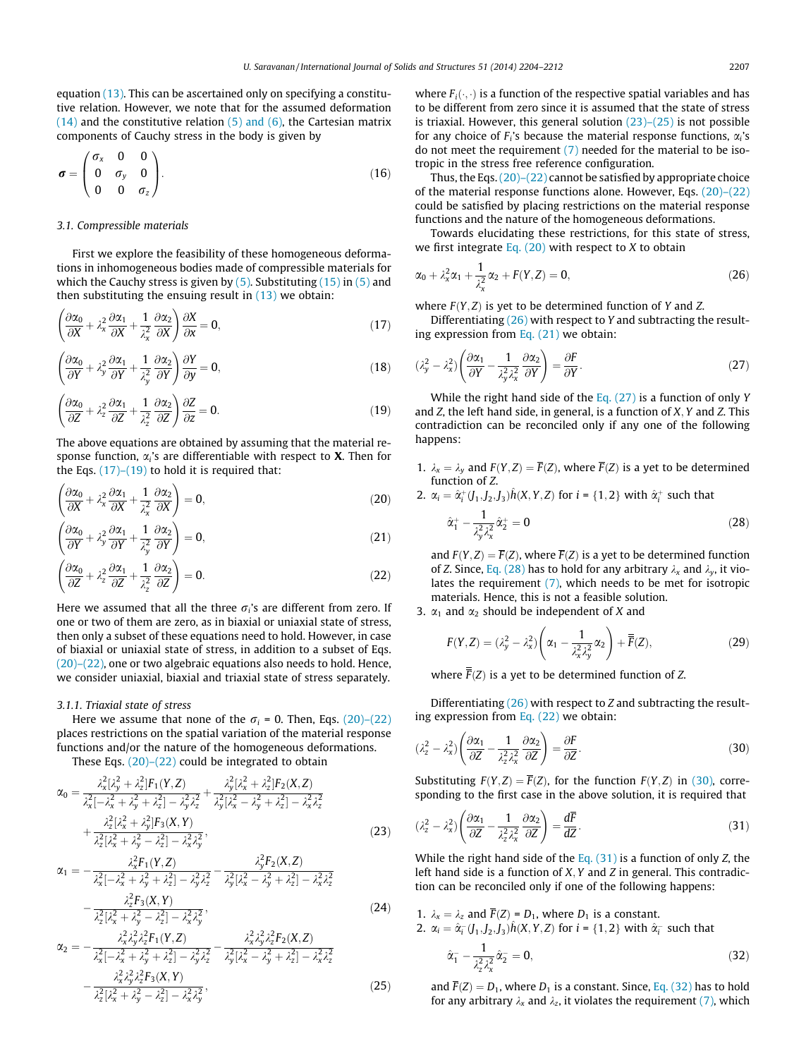<span id="page-3-0"></span>equation [\(13\).](#page-2-0) This can be ascertained only on specifying a constitutive relation. However, we note that for the assumed deformation  $(14)$  and the constitutive relation  $(5)$  and  $(6)$ , the Cartesian matrix components of Cauchy stress in the body is given by

$$
\boldsymbol{\sigma} = \begin{pmatrix} \sigma_x & 0 & 0 \\ 0 & \sigma_y & 0 \\ 0 & 0 & \sigma_z \end{pmatrix} . \tag{16}
$$

#### 3.1. Compressible materials

First we explore the feasibility of these homogeneous deformations in inhomogeneous bodies made of compressible materials for which the Cauchy stress is given by  $(5)$ . Substituting  $(15)$  in  $(5)$  and then substituting the ensuing result in  $(13)$  we obtain:

$$
\left(\frac{\partial \alpha_0}{\partial X} + \lambda_x^2 \frac{\partial \alpha_1}{\partial X} + \frac{1}{\lambda_x^2} \frac{\partial \alpha_2}{\partial X}\right) \frac{\partial X}{\partial x} = 0, \tag{17}
$$

$$
\left(\frac{\partial \alpha_0}{\partial Y} + \lambda_y^2 \frac{\partial \alpha_1}{\partial Y} + \frac{1}{\lambda_y^2} \frac{\partial \alpha_2}{\partial Y}\right) \frac{\partial Y}{\partial y} = 0, \tag{18}
$$

$$
\left(\frac{\partial \alpha_0}{\partial Z} + \lambda_z^2 \frac{\partial \alpha_1}{\partial Z} + \frac{1}{\lambda_z^2} \frac{\partial \alpha_2}{\partial Z}\right) \frac{\partial Z}{\partial z} = 0.
$$
\n(19)

The above equations are obtained by assuming that the material response function,  $\alpha_i$ 's are differentiable with respect to **X**. Then for the Eqs.  $(17)$ – $(19)$  to hold it is required that:

$$
\left(\frac{\partial \alpha_0}{\partial X} + \lambda_x^2 \frac{\partial \alpha_1}{\partial X} + \frac{1}{\lambda_x^2} \frac{\partial \alpha_2}{\partial X}\right) = 0, \tag{20}
$$

$$
\left(\frac{\partial \alpha_0}{\partial Y} + \lambda_y^2 \frac{\partial \alpha_1}{\partial Y} + \frac{1}{\lambda_y^2} \frac{\partial \alpha_2}{\partial Y}\right) = 0, \tag{21}
$$

$$
\left(\frac{\partial \alpha_0}{\partial Z} + \lambda_z^2 \frac{\partial \alpha_1}{\partial Z} + \frac{1}{\lambda_z^2} \frac{\partial \alpha_2}{\partial Z}\right) = 0.
$$
\n(22)

Here we assumed that all the three  $\sigma_i$ 's are different from zero. If one or two of them are zero, as in biaxial or uniaxial state of stress, then only a subset of these equations need to hold. However, in case of biaxial or uniaxial state of stress, in addition to a subset of Eqs.  $(20)$ – $(22)$ , one or two algebraic equations also needs to hold. Hence, we consider uniaxial, biaxial and triaxial state of stress separately.

#### 3.1.1. Triaxial state of stress

Here we assume that none of the  $\sigma_i$  = 0. Then, Eqs. (20)–(22) places restrictions on the spatial variation of the material response functions and/or the nature of the homogeneous deformations. These Eqs.  $(20)$ – $(22)$  could be integrated to obtain

$$
\alpha_0 = \frac{\lambda_x^2 [\lambda_y^2 + \lambda_z^2] F_1(Y, Z)}{\lambda_x^2 [-\lambda_x^2 + \lambda_y^2 + \lambda_z^2] - \lambda_y^2 \lambda_z^2} + \frac{\lambda_y^2 [\lambda_x^2 + \lambda_z^2] F_2(X, Z)}{\lambda_y^2 [\lambda_x^2 - \lambda_y^2 + \lambda_z^2] - \lambda_x^2 \lambda_z^2} + \frac{\lambda_z^2 [\lambda_x^2 + \lambda_y^2] F_3(X, Y)}{\lambda_z^2 [\lambda_x^2 + \lambda_y^2 - \lambda_z^2] - \lambda_x^2 \lambda_y^2},
$$
\n(23)

$$
\alpha_{1} = -\frac{\lambda_{x}^{2}F_{1}(Y,Z)}{\lambda_{x}^{2}[-\lambda_{x}^{2} + \lambda_{y}^{2} + \lambda_{z}^{2}] - \lambda_{y}^{2}\lambda_{z}^{2}} - \frac{\lambda_{y}^{2}F_{2}(X,Z)}{\lambda_{y}^{2}[\lambda_{x}^{2} - \lambda_{y}^{2} + \lambda_{z}^{2}] - \lambda_{x}^{2}\lambda_{z}^{2}} - \frac{\lambda_{z}^{2}F_{3}(X,Y)}{\lambda_{z}^{2}[\lambda_{x}^{2} + \lambda_{y}^{2} - \lambda_{z}^{2}] - \lambda_{x}^{2}\lambda_{y}^{2}},
$$
\n(24)

$$
\alpha_{2} = -\frac{\lambda_{x}^{2} \lambda_{y}^{2} \lambda_{z}^{2} F_{1}(Y, Z)}{\lambda_{x}^{2} [-\lambda_{x}^{2} + \lambda_{y}^{2} + \lambda_{z}^{2}] - \lambda_{y}^{2} \lambda_{z}^{2}} - \frac{\lambda_{x}^{2} \lambda_{y}^{2} \lambda_{z}^{2} F_{2}(X, Z)}{\lambda_{y}^{2} [\lambda_{x}^{2} - \lambda_{y}^{2} + \lambda_{z}^{2}] - \lambda_{x}^{2} \lambda_{z}^{2}} - \frac{\lambda_{x}^{2} \lambda_{y}^{2} \lambda_{z}^{2} F_{3}(X, Y)}{\lambda_{z}^{2} [\lambda_{x}^{2} + \lambda_{y}^{2} - \lambda_{z}^{2}] - \lambda_{x}^{2} \lambda_{y}^{2}},
$$
\n(25)

where  $F_i(\cdot, \cdot)$  is a function of the respective spatial variables and has to be different from zero since it is assumed that the state of stress is triaxial. However, this general solution  $(23)$ – $(25)$  is not possible for any choice of  $F_i$ 's because the material response functions,  $\alpha_i$ 's do not meet the requirement  $(7)$  needed for the material to be isotropic in the stress free reference configuration.

Thus, the Eqs.  $(20)$ – $(22)$  cannot be satisfied by appropriate choice of the material response functions alone. However, Eqs. (20)–(22) could be satisfied by placing restrictions on the material response functions and the nature of the homogeneous deformations.

Towards elucidating these restrictions, for this state of stress, we first integrate Eq.  $(20)$  with respect to X to obtain

$$
\alpha_0 + \lambda_x^2 \alpha_1 + \frac{1}{\lambda_x^2} \alpha_2 + F(Y, Z) = 0,
$$
\n(26)

where  $F(Y, Z)$  is yet to be determined function of Y and Z.

Differentiating  $(26)$  with respect to Y and subtracting the resulting expression from Eq.  $(21)$  we obtain:

$$
(\lambda_y^2 - \lambda_x^2) \left( \frac{\partial \alpha_1}{\partial Y} - \frac{1}{\lambda_y^2 \lambda_x^2} \frac{\partial \alpha_2}{\partial Y} \right) = \frac{\partial F}{\partial Y}.
$$
 (27)

While the right hand side of the Eq. (27) is a function of only Y and  $Z$ , the left hand side, in general, is a function of  $X$ ,  $Y$  and  $Z$ . This contradiction can be reconciled only if any one of the following happens:

1.  $\lambda_x = \lambda_y$  and  $F(Y, Z) = \overline{F}(Z)$ , where  $\overline{F}(Z)$  is a yet to be determined function of Z.

2. 
$$
\alpha_i = \hat{\alpha}_i^+(J_1, J_2, J_3)\hat{h}(X, Y, Z)
$$
 for  $i = \{1, 2\}$  with  $\hat{\alpha}_i^+$  such that

$$
\hat{\alpha}_1^+ - \frac{1}{\lambda_y^2 \lambda_x^2} \hat{\alpha}_2^+ = 0 \tag{28}
$$

and  $F(Y, Z) = \overline{F}(Z)$ , where  $\overline{F}(Z)$  is a yet to be determined function of Z. Since, Eq. (28) has to hold for any arbitrary  $\lambda_x$  and  $\lambda_y$ , it violates the requirement [\(7\),](#page-2-0) which needs to be met for isotropic materials. Hence, this is not a feasible solution.

3.  $\alpha_1$  and  $\alpha_2$  should be independent of X and

$$
F(Y,Z) = (\lambda_y^2 - \lambda_x^2) \left( \alpha_1 - \frac{1}{\lambda_x^2 \lambda_y^2} \alpha_2 \right) + \overline{F}(Z),
$$
 (29)

where  $\overline{F}(Z)$  is a yet to be determined function of Z.

Differentiating  $(26)$  with respect to Z and subtracting the resulting expression from Eq. (22) we obtain:

$$
(\lambda_z^2 - \lambda_x^2) \left( \frac{\partial \alpha_1}{\partial Z} - \frac{1}{\lambda_z^2 \lambda_x^2} \frac{\partial \alpha_2}{\partial Z} \right) = \frac{\partial F}{\partial Z}.
$$
 (30)

Substituting  $F(Y, Z) = \overline{F}(Z)$ , for the function  $F(Y, Z)$  in (30), corresponding to the first case in the above solution, it is required that

$$
(\lambda_z^2 - \lambda_x^2) \left( \frac{\partial \alpha_1}{\partial Z} - \frac{1}{\lambda_z^2 \lambda_x^2} \frac{\partial \alpha_2}{\partial Z} \right) = \frac{d\overline{F}}{dZ}.
$$
 (31)

While the right hand side of the Eq.  $(31)$  is a function of only Z, the left hand side is a function of  $X, Y$  and  $Z$  in general. This contradiction can be reconciled only if one of the following happens:

1.  $\lambda_x = \lambda_z$  and  $\overline{F}(Z) = D_1$ , where  $D_1$  is a constant. 2.  $\alpha_i = \hat{\alpha}_i^-(J_1, J_2, J_3) \hat{h}(X, Y, Z)$  for  $i = \{1, 2\}$  with  $\hat{\alpha}_i^-$  such that  $\hat{\alpha}_1^-$  -  $\frac{1}{2}$  $\lambda_z^2 \lambda_x^2$  $\hat{\alpha}_2^{\scriptscriptstyle -} = 0,$  (32)

and  $\overline{F}(Z) = D_1$ , where  $D_1$  is a constant. Since, Eq. (32) has to hold for any arbitrary  $\lambda_x$  and  $\lambda_z$ , it violates the requirement [\(7\),](#page-2-0) which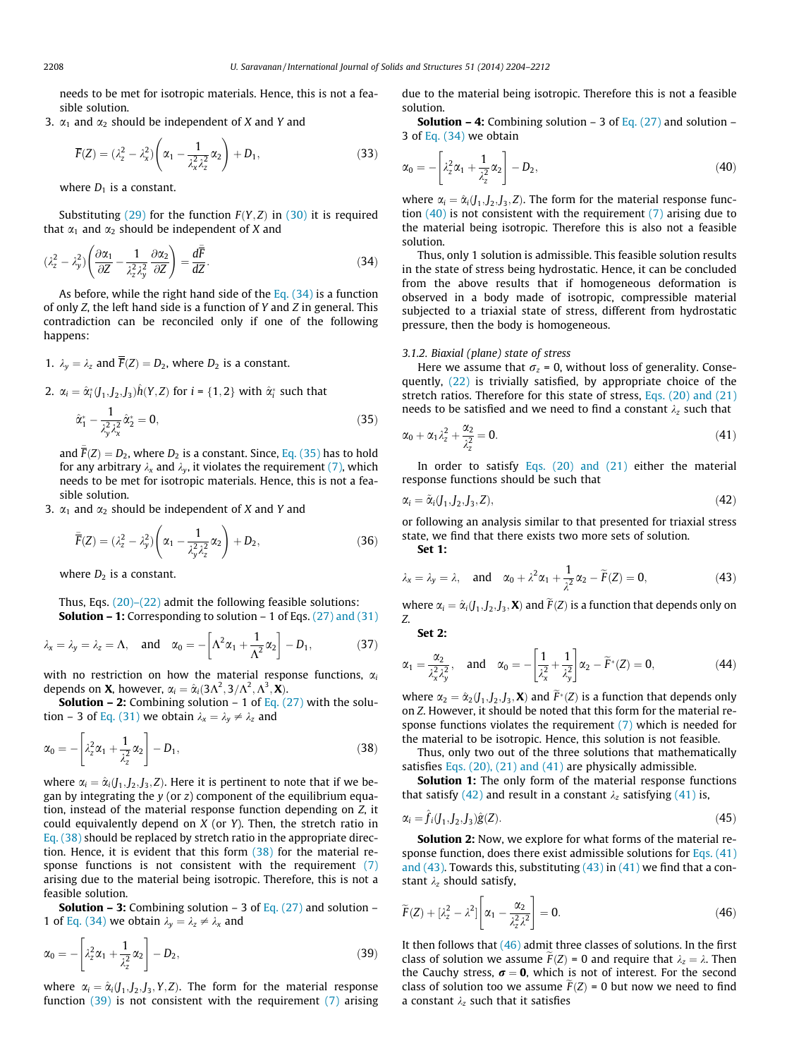needs to be met for isotropic materials. Hence, this is not a feasible solution.

3.  $\alpha_1$  and  $\alpha_2$  should be independent of X and Y and

$$
\overline{F}(Z) = (\lambda_z^2 - \lambda_x^2) \left( \alpha_1 - \frac{1}{\lambda_x^2 \lambda_z^2} \alpha_2 \right) + D_1,
$$
\n(33)

where  $D_1$  is a constant.

Substituting [\(29\)](#page-3-0) for the function  $F(Y, Z)$  in [\(30\)](#page-3-0) it is required that  $\alpha_1$  and  $\alpha_2$  should be independent of X and

$$
(\lambda_z^2 - \lambda_y^2) \left( \frac{\partial \alpha_1}{\partial Z} - \frac{1}{\lambda_z^2 \lambda_y^2} \frac{\partial \alpha_2}{\partial Z} \right) = \frac{d\bar{F}}{dZ}.
$$
 (34)

As before, while the right hand side of the Eq.  $(34)$  is a function of only Z, the left hand side is a function of Y and Z in general. This contradiction can be reconciled only if one of the following happens:

1.  $\lambda_{\nu} = \lambda_z$  and  $\overline{F}(Z) = D_2$ , where  $D_2$  is a constant.

2. 
$$
\alpha_i = \hat{\alpha}_i^*(J_1, J_2, J_3) \hat{h}(Y, Z)
$$
 for  $i = \{1, 2\}$  with  $\hat{\alpha}_i^*$  such that  
\n
$$
\hat{\alpha}_1^* - \frac{1}{\lambda_y^2 \lambda_x^2} \hat{\alpha}_2^* = 0,
$$
\n(35)

and  $\bar{\bar{F}}(Z) = D_2$ , where  $D_2$  is a constant. Since, Eq. (35) has to hold for any arbitrary  $\lambda_x$  and  $\lambda_y$ , it violates the requirement [\(7\),](#page-2-0) which needs to be met for isotropic materials. Hence, this is not a feasible solution.

3.  $\alpha_1$  and  $\alpha_2$  should be independent of X and Y and

$$
\overline{\overline{F}}(Z)=(\lambda_z^2-\lambda_y^2)\left(\alpha_1-\frac{1}{\lambda_y^2\lambda_z^2}\alpha_2\right)+D_2,\hspace{1.0cm} (36)
$$

where  $D_2$  is a constant.

Thus, Eqs.  $(20)$ – $(22)$  admit the following feasible solutions: **Solution – 1:** Corresponding to solution – 1 of Eqs.  $(27)$  and  $(31)$ 

$$
\lambda_x = \lambda_y = \lambda_z = \Lambda
$$
, and  $\alpha_0 = -\left[\Lambda^2 \alpha_1 + \frac{1}{\Lambda^2} \alpha_2\right] - D_1$ , (37)

with no restriction on how the material response functions,  $\alpha_i$ depends on **X**, however,  $\alpha_i = \hat{\alpha}_i (3\Lambda^2, 3/\Lambda^2, \Lambda^3, \mathbf{X})$ .

**Solution – 2:** Combining solution – 1 of Eq.  $(27)$  with the solu-tion – 3 of [Eq. \(31\)](#page-3-0) we obtain  $\lambda_x = \lambda_y \neq \lambda_z$  and

$$
\alpha_0 = -\left[\lambda_z^2 \alpha_1 + \frac{1}{\lambda_z^2} \alpha_2\right] - D_1,\tag{38}
$$

where  $\alpha_i = \hat{\alpha}_i$  $($  $J_1$ , $J_2$ , $J_3$ , $Z$ ). Here it is pertinent to note that if we began by integrating the  $y$  (or  $z$ ) component of the equilibrium equation, instead of the material response function depending on Z, it could equivalently depend on  $X$  (or  $Y$ ). Then, the stretch ratio in Eq. (38) should be replaced by stretch ratio in the appropriate direction. Hence, it is evident that this form (38) for the material response functions is not consistent with the requirement [\(7\)](#page-2-0) arising due to the material being isotropic. Therefore, this is not a feasible solution.

**Solution – 3:** Combining solution – 3 of Eq.  $(27)$  and solution – 1 of Eq. (34) we obtain  $\lambda_y = \lambda_z \neq \lambda_x$  and

$$
\alpha_0 = -\left[\lambda_z^2 \alpha_1 + \frac{1}{\lambda_z^2} \alpha_2\right] - D_2,\tag{39}
$$

where  $\alpha_i = \hat{\alpha}_i \left( J_1, J_2, J_3, Y, Z \right)$ . The form for the material response function (39) is not consistent with the requirement [\(7\)](#page-2-0) arising due to the material being isotropic. Therefore this is not a feasible solution.

**Solution – 4:** Combining solution – 3 of Eq.  $(27)$  and solution – 3 of Eq. (34) we obtain

$$
\alpha_0 = -\left[\lambda_z^2 \alpha_1 + \frac{1}{\lambda_z^2} \alpha_2\right] - D_2,\tag{40}
$$

where  $\alpha_i = \hat{\alpha}_i(J_1, J_2, J_3, Z)$ . The form for the material response function  $(40)$  is not consistent with the requirement  $(7)$  arising due to the material being isotropic. Therefore this is also not a feasible solution.

Thus, only 1 solution is admissible. This feasible solution results in the state of stress being hydrostatic. Hence, it can be concluded from the above results that if homogeneous deformation is observed in a body made of isotropic, compressible material subjected to a triaxial state of stress, different from hydrostatic pressure, then the body is homogeneous.

#### 3.1.2. Biaxial (plane) state of stress

Here we assume that  $\sigma_z$  = 0, without loss of generality. Consequently, (22) is trivially satisfied, by appropriate choice of the stretch ratios. Therefore for this state of stress, Eqs. (20) and (21) needs to be satisfied and we need to find a constant  $\lambda_z$  such that

$$
\alpha_0 + \alpha_1 \lambda_z^2 + \frac{\alpha_2}{\lambda_z^2} = 0. \tag{41}
$$

In order to satisfy Eqs.  $(20)$  and  $(21)$  either the material response functions should be such that

$$
\alpha_i = \tilde{\alpha}_i(J_1, J_2, J_3, Z), \tag{42}
$$

or following an analysis similar to that presented for triaxial stress state, we find that there exists two more sets of solution. Set 1:

$$
\lambda_x = \lambda_y = \lambda
$$
, and  $\alpha_0 + \lambda^2 \alpha_1 + \frac{1}{\lambda^2} \alpha_2 - \widetilde{F}(Z) = 0$ , (43)

where  $\alpha_i = \hat{\alpha}_i \left( J_1, J_2, J_3, \mathbf{X} \right)$  and  $\tilde{F}(Z)$  is a function that depends only on Z.

Set 2:

$$
\alpha_1 = \frac{\alpha_2}{\lambda_x^2 \lambda_y^2}, \quad \text{and} \quad \alpha_0 = -\left[\frac{1}{\lambda_x^2} + \frac{1}{\lambda_y^2}\right] \alpha_2 - \widetilde{F}^*(Z) = 0, \tag{44}
$$

where  $\alpha_2 = \hat{\alpha}_2(J_1, J_2, J_3, \mathbf{X})$  and  $\widetilde{F}^*(Z)$  is a function that depends only on Z. However, it should be noted that this form for the material response functions violates the requirement [\(7\)](#page-2-0) which is needed for the material to be isotropic. Hence, this solution is not feasible.

Thus, only two out of the three solutions that mathematically satisfies Eqs. (20), (21) and (41) are physically admissible.

Solution 1: The only form of the material response functions that satisfy (42) and result in a constant  $\lambda_z$  satisfying (41) is,

$$
\alpha_i = \hat{f}_i(J_1, J_2, J_3)\hat{g}(Z). \tag{45}
$$

Solution 2: Now, we explore for what forms of the material response function, does there exist admissible solutions for Eqs. (41) and (43). Towards this, substituting  $(43)$  in  $(41)$  we find that a constant  $\lambda_z$  should satisfy,

$$
\widetilde{F}(Z) + [\lambda_z^2 - \lambda^2] \left[ \alpha_1 - \frac{\alpha_2}{\lambda_z^2 \lambda^2} \right] = 0.
$$
\n(46)

It then follows that  $(46)$  admit three classes of solutions. In the first class of solution we assume  $F(Z) = 0$  and require that  $\lambda_z = \lambda$ . Then the Cauchy stress,  $\sigma = 0$ , which is not of interest. For the second class of solution too we assume  $F(Z) = 0$  but now we need to find a constant  $\lambda_z$  such that it satisfies

<span id="page-4-0"></span>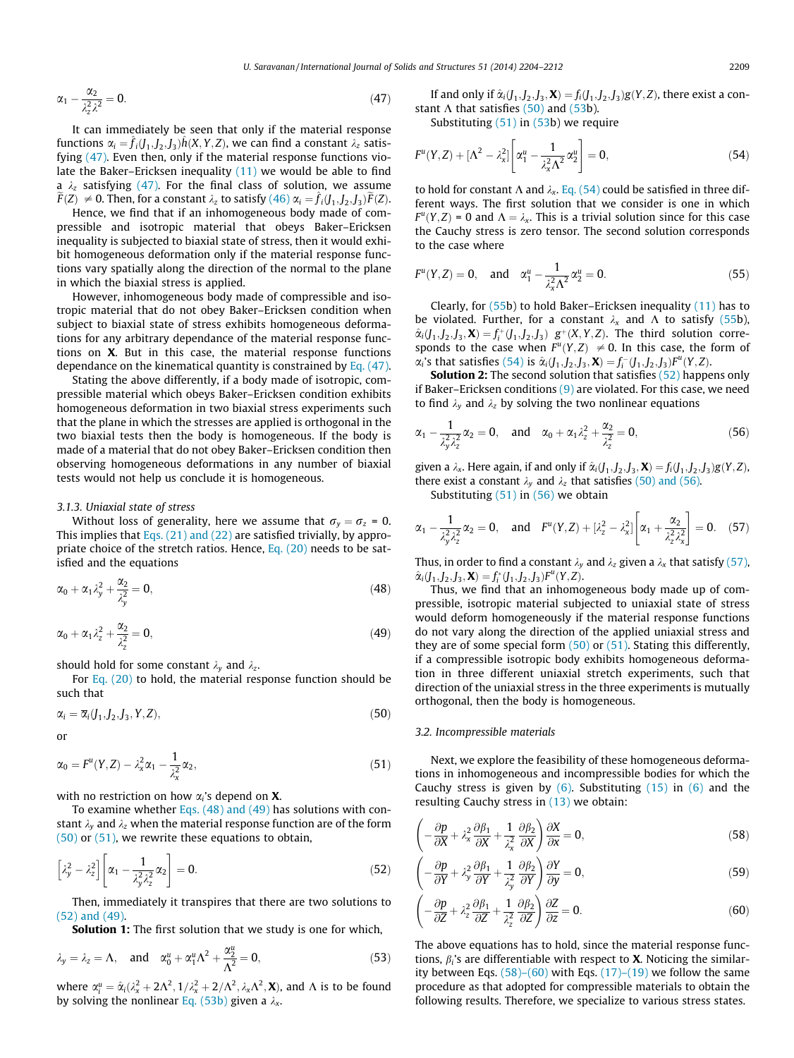<span id="page-5-0"></span>
$$
\alpha_1 - \frac{\alpha_2}{\lambda_2^2 \lambda^2} = 0. \tag{47}
$$

It can immediately be seen that only if the material response functions  $\alpha_i = \hat{f}_i(J_1, J_2, J_3) \hat{h}(X, Y, Z)$ , we can find a constant  $\lambda_z$  satisfying (47). Even then, only if the material response functions violate the Baker–Ericksen inequality [\(11\)](#page-2-0) we would be able to find a  $\lambda_z$  satisfying (47). For the final class of solution, we assume  $F(Z) \neq 0$ . Then, for a constant  $\lambda_z$  to satisfy [\(46\)](#page-4-0)  $\alpha_i = \hat{f}_i(J_1, J_2, J_3)F(Z)$ .

Hence, we find that if an inhomogeneous body made of compressible and isotropic material that obeys Baker–Ericksen inequality is subjected to biaxial state of stress, then it would exhibit homogeneous deformation only if the material response functions vary spatially along the direction of the normal to the plane in which the biaxial stress is applied.

However, inhomogeneous body made of compressible and isotropic material that do not obey Baker–Ericksen condition when subject to biaxial state of stress exhibits homogeneous deformations for any arbitrary dependance of the material response functions on X. But in this case, the material response functions dependance on the kinematical quantity is constrained by Eq. (47).

Stating the above differently, if a body made of isotropic, compressible material which obeys Baker–Ericksen condition exhibits homogeneous deformation in two biaxial stress experiments such that the plane in which the stresses are applied is orthogonal in the two biaxial tests then the body is homogeneous. If the body is made of a material that do not obey Baker–Ericksen condition then observing homogeneous deformations in any number of biaxial tests would not help us conclude it is homogeneous.

#### 3.1.3. Uniaxial state of stress

Without loss of generality, here we assume that  $\sigma_y = \sigma_z = 0$ . This implies that Eqs.  $(21)$  and  $(22)$  are satisfied trivially, by appropriate choice of the stretch ratios. Hence,  $Eq. (20)$  needs to be satisfied and the equations

$$
\alpha_0 + \alpha_1 \lambda_y^2 + \frac{\alpha_2}{\lambda_y^2} = 0,\tag{48}
$$

$$
\alpha_0 + \alpha_1 \lambda_z^2 + \frac{\alpha_2}{\lambda_z^2} = 0, \tag{49}
$$

should hold for some constant  $\lambda_{\nu}$  and  $\lambda_{z}$ .

For Eq. (20) to hold, the material response function should be such that

$$
\alpha_i = \overline{\alpha}_i (J_1, J_2, J_3, Y, Z), \tag{50}
$$

or

$$
\alpha_0 = F^u(Y, Z) - \lambda_x^2 \alpha_1 - \frac{1}{\lambda_x^2} \alpha_2, \qquad (51)
$$

with no restriction on how  $\alpha_i$ 's depend on **X**.

To examine whether Eqs.  $(48)$  and  $(49)$  has solutions with constant  $\lambda_{\nu}$  and  $\lambda_{z}$  when the material response function are of the form (50) or (51), we rewrite these equations to obtain,

$$
\left[\lambda_y^2 - \lambda_z^2\right] \left[\alpha_1 - \frac{1}{\lambda_y^2 \lambda_z^2} \alpha_2\right] = 0. \tag{52}
$$

Then, immediately it transpires that there are two solutions to (52) and (49).

Solution 1: The first solution that we study is one for which,

$$
\lambda_y = \lambda_z = \Lambda
$$
, and  $\alpha_0^u + \alpha_1^u \Lambda^2 + \frac{\alpha_2^u}{\Lambda^2} = 0$ , (53)

where  $\alpha_i^u = \hat{\alpha}_i(\lambda_x^2 + 2\Lambda^2, 1/\lambda_x^2 + 2/\Lambda^2, \lambda_x\Lambda^2, \mathbf{X})$ , and  $\Lambda$  is to be found by solving the nonlinear Eq. (53b) given a  $\lambda_x$ .

If and only if  $\hat{\alpha}_i(J_1, J_2, J_3, \mathbf{X}) = f_i(J_1, J_2, J_3)g(Y, Z)$ , there exist a constant  $\Lambda$  that satisfies (50) and (53b).

Substituting  $(51)$  in  $(53b)$  we require

$$
F^{u}(Y,Z)+[\Lambda^{2}-\lambda_{x}^{2}]\left[\alpha_{1}^{u}-\frac{1}{\lambda_{x}^{2}\Lambda^{2}}\alpha_{2}^{u}\right]=0,
$$
\n(54)

to hold for constant  $\Lambda$  and  $\lambda_{x}$ . Eq. (54) could be satisfied in three different ways. The first solution that we consider is one in which  $F^u(Y, Z) = 0$  and  $\Lambda = \lambda_x$ . This is a trivial solution since for this case the Cauchy stress is zero tensor. The second solution corresponds to the case where

$$
F^{u}(Y, Z) = 0
$$
, and  $\alpha_{1}^{u} - \frac{1}{\lambda_{x}^{2} \Lambda^{2}} \alpha_{2}^{u} = 0$ . (55)

Clearly, for (55b) to hold Baker–Ericksen inequality [\(11\)](#page-2-0) has to be violated. Further, for a constant  $\lambda_x$  and  $\Lambda$  to satisfy (55b),  $\hat{\alpha}_i (J_1, J_2, J_3, \mathbf{X}) = f_i^+(J_1, J_2, J_3)$  g<sup>+</sup>(X, Y, Z). The third solution corresponds to the case when  $F^u(Y, Z) \neq 0$ . In this case, the form of  $\alpha_i$ 's that satisfies (54) is  $\hat{\alpha}_i (J_1, J_2, J_3, \mathbf{X}) = f_i^-(J_1, J_2, J_3)F^u(Y, Z)$ .

**Solution 2:** The second solution that satisfies (52) happens only if Baker–Ericksen conditions  $(9)$  are violated. For this case, we need to find  $\lambda_{\nu}$  and  $\lambda_{z}$  by solving the two nonlinear equations

$$
\alpha_1 - \frac{1}{\lambda_y^2 \lambda_z^2} \alpha_2 = 0, \quad \text{and} \quad \alpha_0 + \alpha_1 \lambda_z^2 + \frac{\alpha_2}{\lambda_z^2} = 0,
$$
 (56)

given a  $\lambda_x$ . Here again, if and only if  $\hat{\alpha}_i(J_1, J_2, J_3, \mathbf{X}) = f_i(J_1, J_2, J_3)g(Y, Z)$ , there exist a constant  $\lambda_y$  and  $\lambda_z$  that satisfies (50) and (56).

Substituting  $(51)$  in  $(56)$  we obtain

$$
\alpha_1 - \frac{1}{\lambda_y^2 \lambda_z^2} \alpha_2 = 0, \text{ and } F^u(Y, Z) + [\lambda_z^2 - \lambda_x^2] \left[ \alpha_1 + \frac{\alpha_2}{\lambda_z^2 \lambda_x^2} \right] = 0. \quad (57)
$$

Thus, in order to find a constant  $\lambda_y$  and  $\lambda_z$  given a  $\lambda_x$  that satisfy (57),  $\hat{\alpha}_i(J_1, J_2, J_3, \mathbf{X}) = f_i^*(J_1, J_2, J_3)F^u(Y, Z).$ 

Thus, we find that an inhomogeneous body made up of compressible, isotropic material subjected to uniaxial state of stress would deform homogeneously if the material response functions do not vary along the direction of the applied uniaxial stress and they are of some special form  $(50)$  or  $(51)$ . Stating this differently, if a compressible isotropic body exhibits homogeneous deformation in three different uniaxial stretch experiments, such that direction of the uniaxial stress in the three experiments is mutually orthogonal, then the body is homogeneous.

#### 3.2. Incompressible materials

Next, we explore the feasibility of these homogeneous deformations in inhomogeneous and incompressible bodies for which the Cauchy stress is given by  $(6)$ . Substituting  $(15)$  in  $(6)$  and the resulting Cauchy stress in [\(13\)](#page-2-0) we obtain:

$$
\left(-\frac{\partial p}{\partial X} + \lambda_x^2 \frac{\partial \beta_1}{\partial X} + \frac{1}{\lambda_x^2} \frac{\partial \beta_2}{\partial X}\right) \frac{\partial X}{\partial x} = 0, \tag{58}
$$

$$
\left(-\frac{\partial p}{\partial Y} + \lambda_y^2 \frac{\partial \beta_1}{\partial Y} + \frac{1}{\lambda_y^2} \frac{\partial \beta_2}{\partial Y}\right) \frac{\partial Y}{\partial y} = 0, \tag{59}
$$

$$
\left(-\frac{\partial p}{\partial Z} + \lambda_z^2 \frac{\partial \beta_1}{\partial Z} + \frac{1}{\lambda_z^2} \frac{\partial \beta_2}{\partial Z}\right) \frac{\partial Z}{\partial z} = 0.
$$
 (60)

The above equations has to hold, since the material response functions,  $\beta_i$ 's are differentiable with respect to **X**. Noticing the similarity between Eqs.  $(58)$ – $(60)$  with Eqs.  $(17)$ – $(19)$  we follow the same procedure as that adopted for compressible materials to obtain the following results. Therefore, we specialize to various stress states.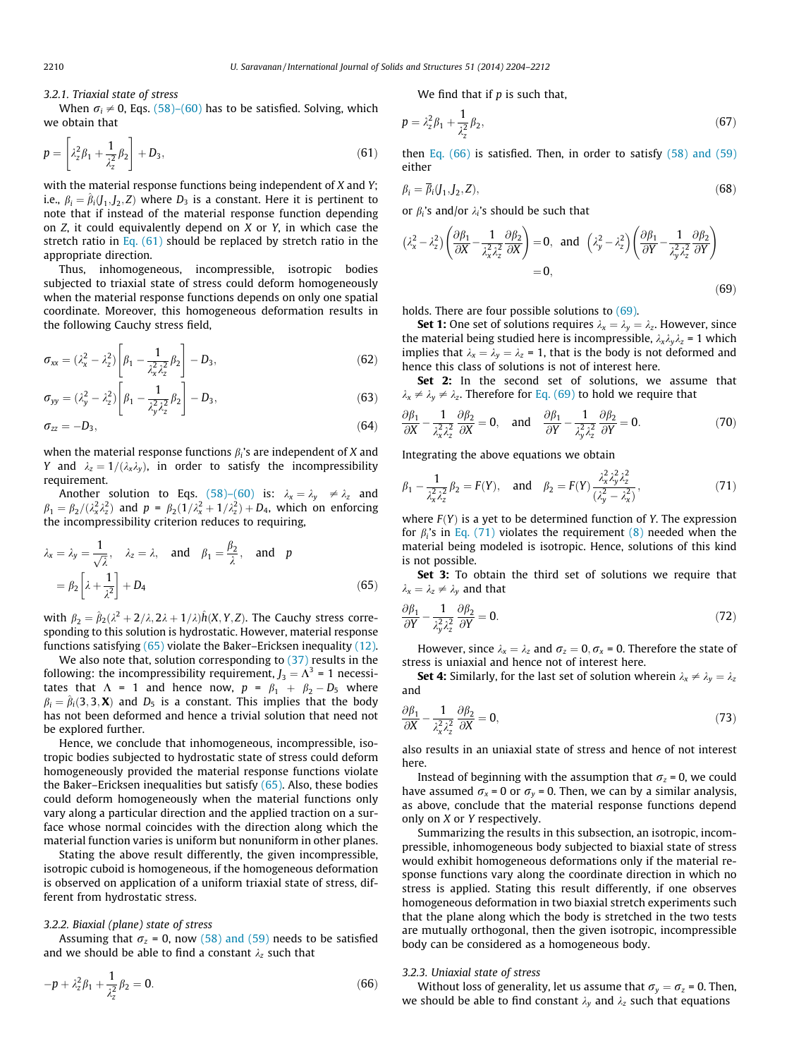#### 3.2.1. Triaxial state of stress

When  $\sigma_i \neq 0$ . Eqs. [\(58\)–\(60\)](#page-5-0) has to be satisfied. Solving, which we obtain that

$$
p = \left[\lambda_z^2 \beta_1 + \frac{1}{\lambda_z^2} \beta_2\right] + D_3, \tag{61}
$$

with the material response functions being independent of X and Y; i.e.,  $\beta_i = \hat{\beta}_i (J_1, J_2, Z)$  where  $D_3$  is a constant. Here it is pertinent to note that if instead of the material response function depending on Z, it could equivalently depend on X or Y, in which case the stretch ratio in Eq. (61) should be replaced by stretch ratio in the appropriate direction.

Thus, inhomogeneous, incompressible, isotropic bodies subjected to triaxial state of stress could deform homogeneously when the material response functions depends on only one spatial coordinate. Moreover, this homogeneous deformation results in the following Cauchy stress field,

$$
\sigma_{xx} = (\lambda_x^2 - \lambda_z^2) \left[ \beta_1 - \frac{1}{\lambda_x^2 \lambda_z^2} \beta_2 \right] - D_3,
$$
\n(62)

$$
\sigma_{yy} = (\lambda_y^2 - \lambda_z^2) \left[ \beta_1 - \frac{1}{\lambda_y^2 \lambda_z^2} \beta_2 \right] - D_3,
$$
\n(63)

$$
\sigma_{zz} = -D_3,\tag{64}
$$

when the material response functions  $\beta_i$ 's are independent of X and Y and  $\lambda_z = 1/(\lambda_x \lambda_y)$ , in order to satisfy the incompressibility requirement.

Another solution to Eqs. [\(58\)–\(60\)](#page-5-0) is:  $\lambda_x = \lambda_y \neq \lambda_z$  and  $\beta_1 = \beta_2/(\lambda_x^2 \lambda_z^2)$  and  $p = \beta_2(1/\lambda_x^2 + 1/\lambda_z^2) + D_4$ , which on enforcing the incompressibility criterion reduces to requiring,

$$
\lambda_x = \lambda_y = \frac{1}{\sqrt{\lambda}}, \quad \lambda_z = \lambda, \quad \text{and} \quad \beta_1 = \frac{\beta_2}{\lambda}, \quad \text{and} \quad p
$$

$$
= \beta_2 \left[ \lambda + \frac{1}{\lambda^2} \right] + D_4 \tag{65}
$$

with  $\beta_2=\hat{\beta}_2(\lambda^2+2/\lambda,2\lambda+1/\lambda)\hat{h}(X,Y,Z)$ . The Cauchy stress corresponding to this solution is hydrostatic. However, material response functions satisfying (65) violate the Baker–Ericksen inequality [\(12\).](#page-2-0)

We also note that, solution corresponding to  $(37)$  results in the following: the incompressibility requirement,  $J_3 = \Lambda^3 = 1$  necessitates that  $\Lambda$  = 1 and hence now,  $p = \beta_1 + \beta_2 - D_5$  where  $\beta_i = \hat{\beta}_i(3, 3, \mathbf{X})$  and  $D_5$  is a constant. This implies that the body has not been deformed and hence a trivial solution that need not be explored further.

Hence, we conclude that inhomogeneous, incompressible, isotropic bodies subjected to hydrostatic state of stress could deform homogeneously provided the material response functions violate the Baker–Ericksen inequalities but satisfy (65). Also, these bodies could deform homogeneously when the material functions only vary along a particular direction and the applied traction on a surface whose normal coincides with the direction along which the material function varies is uniform but nonuniform in other planes.

Stating the above result differently, the given incompressible, isotropic cuboid is homogeneous, if the homogeneous deformation is observed on application of a uniform triaxial state of stress, different from hydrostatic stress.

#### 3.2.2. Biaxial (plane) state of stress

Assuming that  $\sigma_z$  = 0, now [\(58\) and \(59\)](#page-5-0) needs to be satisfied and we should be able to find a constant  $\lambda_z$  such that

$$
-p + \lambda_z^2 \beta_1 + \frac{1}{\lambda_z^2} \beta_2 = 0. \tag{66}
$$

We find that if  $p$  is such that,

$$
p = \lambda_z^2 \beta_1 + \frac{1}{\lambda_z^2} \beta_2,\tag{67}
$$

then Eq.  $(66)$  is satisfied. Then, in order to satisfy  $(58)$  and  $(59)$ either

$$
\beta_i = \overline{\beta}_i(J_1, J_2, Z),\tag{68}
$$

or  $\beta_i$ 's and/or  $\lambda_i$ 's should be such that

$$
\left(\lambda_x^2 - \lambda_z^2\right) \left(\frac{\partial \beta_1}{\partial X} - \frac{1}{\lambda_x^2 \lambda_z^2} \frac{\partial \beta_2}{\partial X}\right) = 0, \text{ and } \left(\lambda_y^2 - \lambda_z^2\right) \left(\frac{\partial \beta_1}{\partial Y} - \frac{1}{\lambda_y^2 \lambda_z^2} \frac{\partial \beta_2}{\partial Y}\right) = 0,
$$
\n(69)

holds. There are four possible solutions to (69).

**Set 1:** One set of solutions requires  $\lambda_x = \lambda_y = \lambda_z$ . However, since the material being studied here is incompressible,  $\lambda_x \lambda_y \lambda_z = 1$  which implies that  $\lambda_x = \lambda_y = \lambda_z = 1$ , that is the body is not deformed and hence this class of solutions is not of interest here.

Set 2: In the second set of solutions, we assume that  $\lambda_x \neq \lambda_y \neq \lambda_z$ . Therefore for Eq. (69) to hold we require that

$$
\frac{\partial \beta_1}{\partial X} - \frac{1}{\lambda_x^2 \lambda_z^2} \frac{\partial \beta_2}{\partial X} = 0, \text{ and } \frac{\partial \beta_1}{\partial Y} - \frac{1}{\lambda_y^2 \lambda_z^2} \frac{\partial \beta_2}{\partial Y} = 0.
$$
 (70)

Integrating the above equations we obtain

$$
\beta_1 - \frac{1}{\lambda_x^2 \lambda_z^2} \beta_2 = F(Y), \text{ and } \beta_2 = F(Y) \frac{\lambda_x^2 \lambda_y^2 \lambda_z^2}{(\lambda_y^2 - \lambda_x^2)},
$$
(71)

where  $F(Y)$  is a yet to be determined function of Y. The expression for  $\beta_i$ 's in Eq. (71) violates the requirement [\(8\)](#page-2-0) needed when the material being modeled is isotropic. Hence, solutions of this kind is not possible.

Set 3: To obtain the third set of solutions we require that  $\lambda_x = \lambda_z \neq \lambda_y$  and that

$$
\frac{\partial \beta_1}{\partial Y} - \frac{1}{\lambda_y^2 \lambda_z^2} \frac{\partial \beta_2}{\partial Y} = 0.
$$
 (72)

However, since  $\lambda_x = \lambda_z$  and  $\sigma_z = 0$ ,  $\sigma_x = 0$ . Therefore the state of stress is uniaxial and hence not of interest here.

**Set 4:** Similarly, for the last set of solution wherein  $\lambda_x \neq \lambda_y = \lambda_z$ and

$$
\frac{\partial \beta_1}{\partial X} - \frac{1}{\lambda_x^2 \lambda_z^2} \frac{\partial \beta_2}{\partial X} = 0,
$$
\n(73)

also results in an uniaxial state of stress and hence of not interest here.

Instead of beginning with the assumption that  $\sigma_z$  = 0, we could have assumed  $\sigma_x = 0$  or  $\sigma_y = 0$ . Then, we can by a similar analysis, as above, conclude that the material response functions depend only on X or Y respectively.

Summarizing the results in this subsection, an isotropic, incompressible, inhomogeneous body subjected to biaxial state of stress would exhibit homogeneous deformations only if the material response functions vary along the coordinate direction in which no stress is applied. Stating this result differently, if one observes homogeneous deformation in two biaxial stretch experiments such that the plane along which the body is stretched in the two tests are mutually orthogonal, then the given isotropic, incompressible body can be considered as a homogeneous body.

#### 3.2.3. Uniaxial state of stress

Without loss of generality, let us assume that  $\sigma_y = \sigma_z = 0$ . Then, we should be able to find constant  $\lambda_{\nu}$  and  $\lambda_{z}$  such that equations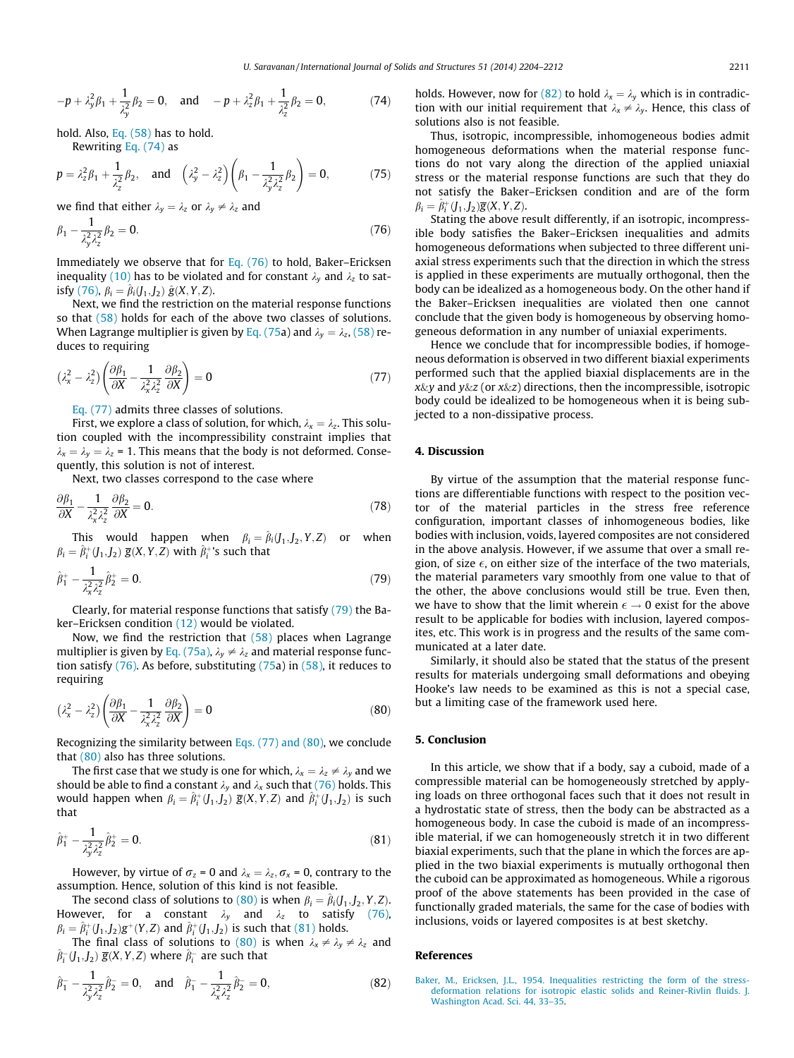<span id="page-7-0"></span>
$$
-p + \lambda_y^2 \beta_1 + \frac{1}{\lambda_y^2} \beta_2 = 0, \text{ and } -p + \lambda_z^2 \beta_1 + \frac{1}{\lambda_z^2} \beta_2 = 0,
$$
 (74)

hold. Also, [Eq. \(58\)](#page-5-0) has to hold.

Rewriting Eq. 
$$
(74)
$$
 as

$$
p = \lambda_z^2 \beta_1 + \frac{1}{\lambda_z^2} \beta_2
$$
, and  $(\lambda_y^2 - \lambda_z^2) \left( \beta_1 - \frac{1}{\lambda_y^2 \lambda_z^2} \beta_2 \right) = 0$ , (75)

we find that either  $\lambda_{\nu} = \lambda_z$  or  $\lambda_{\nu} \neq \lambda_z$  and

$$
\beta_1 - \frac{1}{\lambda_y^2 \lambda_z^2} \beta_2 = 0. \tag{76}
$$

Immediately we observe that for Eq. (76) to hold, Baker–Ericksen inequality [\(10\)](#page-2-0) has to be violated and for constant  $\lambda_{\nu}$  and  $\lambda_{z}$  to satisfy (76),  $\beta_i = \hat{\beta}_i(J_1, J_2) \hat{g}(X, Y, Z)$ .

Next, we find the restriction on the material response functions so that [\(58\)](#page-5-0) holds for each of the above two classes of solutions. When Lagrange multiplier is given by Eq. (75a) and  $\lambda_{v} = \lambda_{z}$ , [\(58\)](#page-5-0) reduces to requiring

$$
\left(\lambda_x^2 - \lambda_z^2\right) \left(\frac{\partial \beta_1}{\partial X} - \frac{1}{\lambda_x^2 \lambda_z^2} \frac{\partial \beta_2}{\partial X}\right) = 0
$$
\n(77)

Eq. (77) admits three classes of solutions.

First, we explore a class of solution, for which,  $\lambda_x = \lambda_z$ . This solution coupled with the incompressibility constraint implies that  $\lambda_x = \lambda_y = \lambda_z = 1$ . This means that the body is not deformed. Consequently, this solution is not of interest.

Next, two classes correspond to the case where

$$
\frac{\partial \beta_1}{\partial X} - \frac{1}{\lambda_x^2 \lambda_z^2} \frac{\partial \beta_2}{\partial X} = 0.
$$
 (78)

This would happen when  $\beta_i = \hat{\beta}_i (J_1, J_2, Y, Z)$  or when  $\beta_i = \hat{\beta}_i^+(J_1, J_2)$   $\overline{g}(X, Y, Z)$  with  $\hat{\beta}_i^+$ 's such that

$$
\hat{\beta}_1^+ - \frac{1}{\lambda_x^2 \lambda_z^2} \hat{\beta}_2^+ = 0. \tag{79}
$$

Clearly, for material response functions that satisfy (79) the Baker–Ericksen condition [\(12\)](#page-2-0) would be violated.

Now, we find the restriction that [\(58\)](#page-5-0) places when Lagrange multiplier is given by Eq. (75a),  $\lambda_{\nu} \neq \lambda_{z}$  and material response function satisfy (76). As before, substituting (75a) in [\(58\)](#page-5-0), it reduces to requiring

$$
\left(\lambda_x^2 - \lambda_z^2\right) \left(\frac{\partial \beta_1}{\partial X} - \frac{1}{\lambda_x^2 \lambda_z^2} \frac{\partial \beta_2}{\partial X}\right) = 0
$$
\n(80)

Recognizing the similarity between Eqs.  $(77)$  and  $(80)$ , we conclude that (80) also has three solutions.

The first case that we study is one for which,  $\lambda_x = \lambda_z \neq \lambda_y$  and we should be able to find a constant  $\lambda_y$  and  $\lambda_x$  such that (76) holds. This would happen when  $\beta_i = \hat{\beta}_i^+(J_1, J_2)$   $\overline{g}(X, Y, Z)$  and  $\hat{\beta}_i^+(J_1, J_2)$  is such that

$$
\hat{\beta}_1^+ - \frac{1}{\lambda_y^2 \lambda_z^2} \hat{\beta}_2^+ = 0. \tag{81}
$$

However, by virtue of  $\sigma_z$  = 0 and  $\lambda_x = \lambda_z, \sigma_x$  = 0, contrary to the assumption. Hence, solution of this kind is not feasible.

The second class of solutions to (80) is when  $\beta_i = \hat{\beta}_i (J_1, J_2, Y, Z)$ . However, for a constant  $\lambda_y$  and  $\lambda_z$  to satisfy (76),  $\beta_i = \hat{\beta}_i^+(J_1, J_2)g^+(Y, Z)$  and  $\hat{\beta}_i^+(J_1, J_2)$  is such that (81) holds.

The final class of solutions to (80) is when  $\lambda_x \neq \lambda_y \neq \lambda_z$  and  $\hat{\beta}^-_i (J_1, J_2)$   $\overline{g}(X, Y, Z)$  where  $\hat{\beta}^-_i$  are such that

$$
\hat{\beta}_1^- - \frac{1}{\lambda_y^2 \lambda_z^2} \hat{\beta}_2^- = 0
$$
, and  $\hat{\beta}_1^- - \frac{1}{\lambda_x^2 \lambda_z^2} \hat{\beta}_2^- = 0$ , (82)

holds. However, now for (82) to hold  $\lambda_x = \lambda_y$  which is in contradiction with our initial requirement that  $\lambda_x \neq \lambda_y$ . Hence, this class of solutions also is not feasible.

Thus, isotropic, incompressible, inhomogeneous bodies admit homogeneous deformations when the material response functions do not vary along the direction of the applied uniaxial stress or the material response functions are such that they do not satisfy the Baker–Ericksen condition and are of the form  $\beta_i = \hat{\beta}_i^+(J_1, J_2)\overline{g}(X, Y, Z).$ 

Stating the above result differently, if an isotropic, incompressible body satisfies the Baker–Ericksen inequalities and admits homogeneous deformations when subjected to three different uniaxial stress experiments such that the direction in which the stress is applied in these experiments are mutually orthogonal, then the body can be idealized as a homogeneous body. On the other hand if the Baker–Ericksen inequalities are violated then one cannot conclude that the given body is homogeneous by observing homogeneous deformation in any number of uniaxial experiments.

Hence we conclude that for incompressible bodies, if homogeneous deformation is observed in two different biaxial experiments performed such that the applied biaxial displacements are in the  $x \& y$  and  $y \& z$  (or  $x \& z$ ) directions, then the incompressible, isotropic body could be idealized to be homogeneous when it is being subjected to a non-dissipative process.

#### 4. Discussion

By virtue of the assumption that the material response functions are differentiable functions with respect to the position vector of the material particles in the stress free reference configuration, important classes of inhomogeneous bodies, like bodies with inclusion, voids, layered composites are not considered in the above analysis. However, if we assume that over a small region, of size  $\epsilon$ , on either size of the interface of the two materials, the material parameters vary smoothly from one value to that of the other, the above conclusions would still be true. Even then, we have to show that the limit wherein  $\epsilon \to 0$  exist for the above result to be applicable for bodies with inclusion, layered composites, etc. This work is in progress and the results of the same communicated at a later date.

Similarly, it should also be stated that the status of the present results for materials undergoing small deformations and obeying Hooke's law needs to be examined as this is not a special case, but a limiting case of the framework used here.

#### 5. Conclusion

In this article, we show that if a body, say a cuboid, made of a compressible material can be homogeneously stretched by applying loads on three orthogonal faces such that it does not result in a hydrostatic state of stress, then the body can be abstracted as a homogeneous body. In case the cuboid is made of an incompressible material, if we can homogeneously stretch it in two different biaxial experiments, such that the plane in which the forces are applied in the two biaxial experiments is mutually orthogonal then the cuboid can be approximated as homogeneous. While a rigorous proof of the above statements has been provided in the case of functionally graded materials, the same for the case of bodies with inclusions, voids or layered composites is at best sketchy.

#### References

[Baker, M., Ericksen, J.L., 1954. Inequalities restricting the form of the stress](http://refhub.elsevier.com/S0020-7683(14)00075-4/h0015)[deformation relations for isotropic elastic solids and Reiner-Rivlin fluids. J.](http://refhub.elsevier.com/S0020-7683(14)00075-4/h0015) [Washington Acad. Sci. 44, 33–35](http://refhub.elsevier.com/S0020-7683(14)00075-4/h0015).